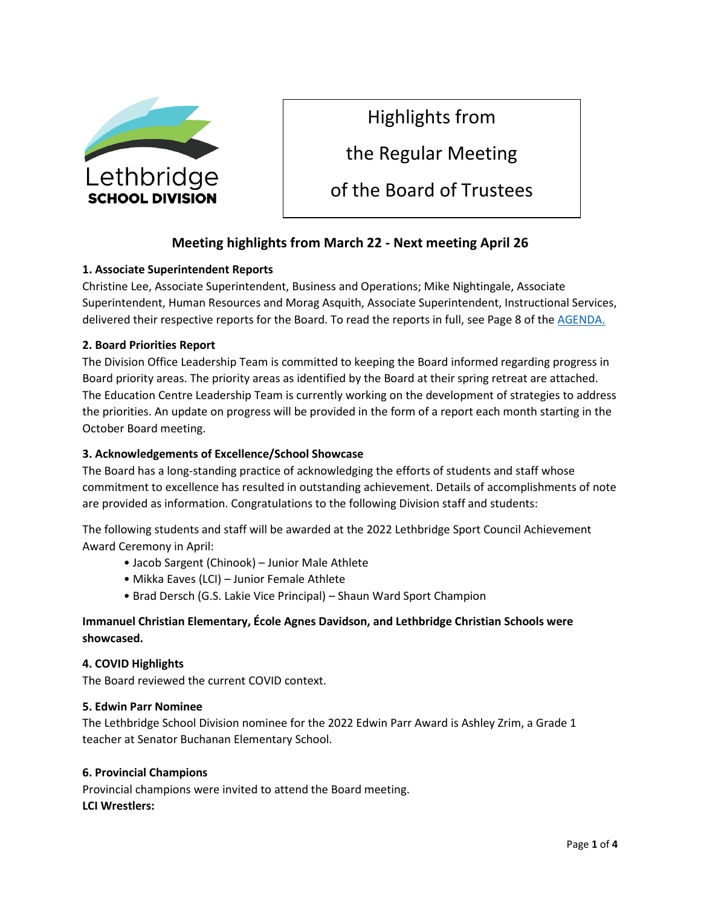

Highlights from

the Regular Meeting

of the Board of Trustees

## **Meeting highlights from March 22 - Next meeting April 26**

#### **1. Associate Superintendent Reports**

Christine Lee, Associate Superintendent, Business and Operations; Mike Nightingale, Associate Superintendent, Human Resources and Morag Asquith, Associate Superintendent, Instructional Services, delivered their respective reports for the Board. To read the reports in full, see Page 8 of the [AGENDA.](https://www.lethsd.ab.ca/download/385169)

#### **2. Board Priorities Report**

The Division Office Leadership Team is committed to keeping the Board informed regarding progress in Board priority areas. The priority areas as identified by the Board at their spring retreat are attached. The Education Centre Leadership Team is currently working on the development of strategies to address the priorities. An update on progress will be provided in the form of a report each month starting in the October Board meeting.

#### **3. Acknowledgements of Excellence/School Showcase**

The Board has a long-standing practice of acknowledging the efforts of students and staff whose commitment to excellence has resulted in outstanding achievement. Details of accomplishments of note are provided as information. Congratulations to the following Division staff and students:

The following students and staff will be awarded at the 2022 Lethbridge Sport Council Achievement Award Ceremony in April:

- Jacob Sargent (Chinook) Junior Male Athlete
- Mikka Eaves (LCI) Junior Female Athlete
- Brad Dersch (G.S. Lakie Vice Principal) Shaun Ward Sport Champion

### **Immanuel Christian Elementary, École Agnes Davidson, and Lethbridge Christian Schools were showcased.**

#### **4. COVID Highlights**

The Board reviewed the current COVID context.

#### **5. Edwin Parr Nominee**

The Lethbridge School Division nominee for the 2022 Edwin Parr Award is Ashley Zrim, a Grade 1 teacher at Senator Buchanan Elementary School.

#### **6. Provincial Champions**

Provincial champions were invited to attend the Board meeting. **LCI Wrestlers:**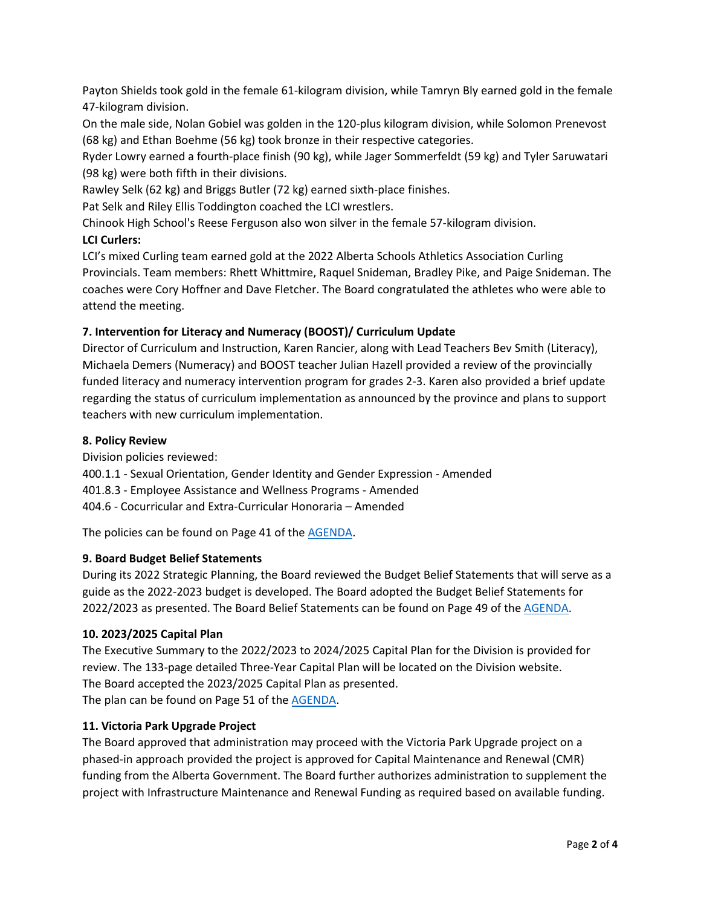Payton Shields took gold in the female 61-kilogram division, while Tamryn Bly earned gold in the female 47-kilogram division.

On the male side, Nolan Gobiel was golden in the 120-plus kilogram division, while Solomon Prenevost (68 kg) and Ethan Boehme (56 kg) took bronze in their respective categories.

Ryder Lowry earned a fourth-place finish (90 kg), while Jager Sommerfeldt (59 kg) and Tyler Saruwatari (98 kg) were both fifth in their divisions.

Rawley Selk (62 kg) and Briggs Butler (72 kg) earned sixth-place finishes.

Pat Selk and Riley Ellis Toddington coached the LCI wrestlers.

Chinook High School's Reese Ferguson also won silver in the female 57-kilogram division.

#### **LCI Curlers:**

LCI's mixed Curling team earned gold at the 2022 Alberta Schools Athletics Association Curling Provincials. Team members: Rhett Whittmire, Raquel Snideman, Bradley Pike, and Paige Snideman. The coaches were Cory Hoffner and Dave Fletcher. The Board congratulated the athletes who were able to attend the meeting.

#### **7. Intervention for Literacy and Numeracy (BOOST)/ Curriculum Update**

Director of Curriculum and Instruction, Karen Rancier, along with Lead Teachers Bev Smith (Literacy), Michaela Demers (Numeracy) and BOOST teacher Julian Hazell provided a review of the provincially funded literacy and numeracy intervention program for grades 2-3. Karen also provided a brief update regarding the status of curriculum implementation as announced by the province and plans to support teachers with new curriculum implementation.

#### **8. Policy Review**

Division policies reviewed:

400.1.1 - Sexual Orientation, Gender Identity and Gender Expression - Amended

401.8.3 - Employee Assistance and Wellness Programs - Amended

404.6 - Cocurricular and Extra-Curricular Honoraria – Amended

The policies can be found on Page 41 of the [AGENDA.](https://www.lethsd.ab.ca/download/385169)

#### **9. Board Budget Belief Statements**

During its 2022 Strategic Planning, the Board reviewed the Budget Belief Statements that will serve as a guide as the 2022-2023 budget is developed. The Board adopted the Budget Belief Statements for 2022/2023 as presented. The Board Belief Statements can be found on Page 49 of the [AGENDA.](https://www.lethsd.ab.ca/download/385169)

#### **10. 2023/2025 Capital Plan**

The Executive Summary to the 2022/2023 to 2024/2025 Capital Plan for the Division is provided for review. The 133-page detailed Three-Year Capital Plan will be located on the Division website. The Board accepted the 2023/2025 Capital Plan as presented. The plan can be found on Page 51 of the **AGENDA**.

#### **11. Victoria Park Upgrade Project**

The Board approved that administration may proceed with the Victoria Park Upgrade project on a phased-in approach provided the project is approved for Capital Maintenance and Renewal (CMR) funding from the Alberta Government. The Board further authorizes administration to supplement the project with Infrastructure Maintenance and Renewal Funding as required based on available funding.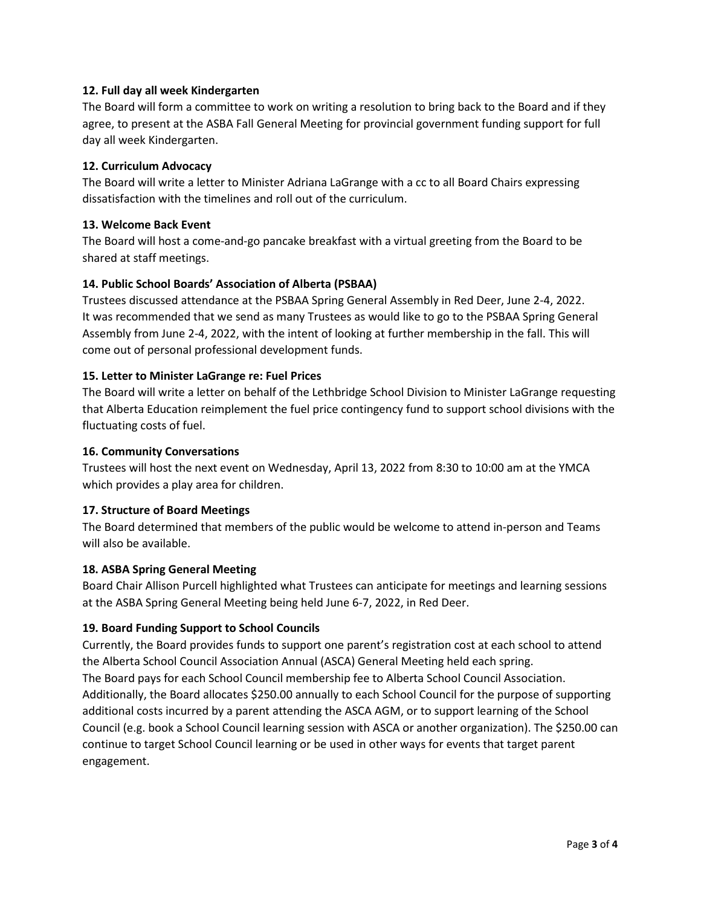#### **12. Full day all week Kindergarten**

The Board will form a committee to work on writing a resolution to bring back to the Board and if they agree, to present at the ASBA Fall General Meeting for provincial government funding support for full day all week Kindergarten.

#### **12. Curriculum Advocacy**

The Board will write a letter to Minister Adriana LaGrange with a cc to all Board Chairs expressing dissatisfaction with the timelines and roll out of the curriculum.

#### **13. Welcome Back Event**

The Board will host a come-and-go pancake breakfast with a virtual greeting from the Board to be shared at staff meetings.

#### **14. Public School Boards' Association of Alberta (PSBAA)**

Trustees discussed attendance at the PSBAA Spring General Assembly in Red Deer, June 2-4, 2022. It was recommended that we send as many Trustees as would like to go to the PSBAA Spring General Assembly from June 2-4, 2022, with the intent of looking at further membership in the fall. This will come out of personal professional development funds.

#### **15. Letter to Minister LaGrange re: Fuel Prices**

The Board will write a letter on behalf of the Lethbridge School Division to Minister LaGrange requesting that Alberta Education reimplement the fuel price contingency fund to support school divisions with the fluctuating costs of fuel.

#### **16. Community Conversations**

Trustees will host the next event on Wednesday, April 13, 2022 from 8:30 to 10:00 am at the YMCA which provides a play area for children.

#### **17. Structure of Board Meetings**

The Board determined that members of the public would be welcome to attend in-person and Teams will also be available.

#### **18. ASBA Spring General Meeting**

Board Chair Allison Purcell highlighted what Trustees can anticipate for meetings and learning sessions at the ASBA Spring General Meeting being held June 6-7, 2022, in Red Deer.

#### **19. Board Funding Support to School Councils**

Currently, the Board provides funds to support one parent's registration cost at each school to attend the Alberta School Council Association Annual (ASCA) General Meeting held each spring. The Board pays for each School Council membership fee to Alberta School Council Association. Additionally, the Board allocates \$250.00 annually to each School Council for the purpose of supporting additional costs incurred by a parent attending the ASCA AGM, or to support learning of the School Council (e.g. book a School Council learning session with ASCA or another organization). The \$250.00 can continue to target School Council learning or be used in other ways for events that target parent engagement.